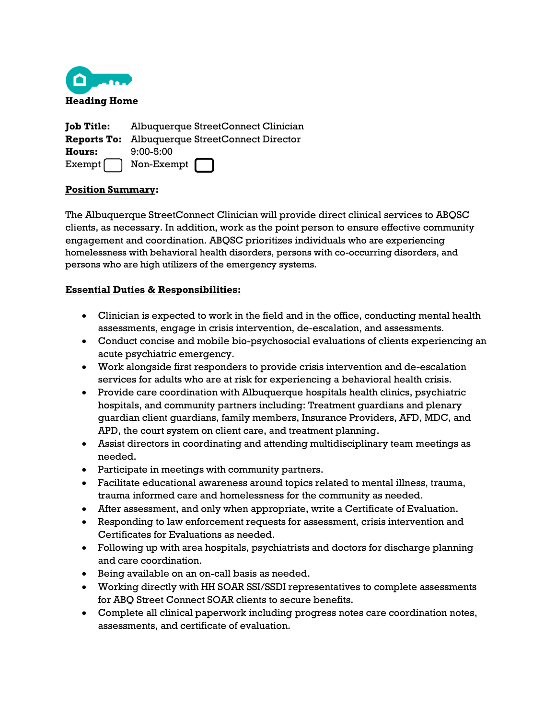

**Job Title:** Albuquerque StreetConnect Clinician **Reports To:** Albuquerque StreetConnect Director **Hours:** 9:00-5:00  $Exempt$  Non-Exempt

# **Position Summary:**

The Albuquerque StreetConnect Clinician will provide direct clinical services to ABQSC clients, as necessary. In addition, work as the point person to ensure effective community engagement and coordination. ABQSC prioritizes individuals who are experiencing homelessness with behavioral health disorders, persons with co-occurring disorders, and persons who are high utilizers of the emergency systems.

### **Essential Duties & Responsibilities:**

- Clinician is expected to work in the field and in the office, conducting mental health assessments, engage in crisis intervention, de-escalation, and assessments.
- Conduct concise and mobile bio-psychosocial evaluations of clients experiencing an acute psychiatric emergency.
- Work alongside first responders to provide crisis intervention and de-escalation services for adults who are at risk for experiencing a behavioral health crisis.
- Provide care coordination with Albuquerque hospitals health clinics, psychiatric hospitals, and community partners including: Treatment guardians and plenary guardian client guardians, family members, Insurance Providers, AFD, MDC, and APD, the court system on client care, and treatment planning.
- Assist directors in coordinating and attending multidisciplinary team meetings as needed.
- Participate in meetings with community partners.
- Facilitate educational awareness around topics related to mental illness, trauma, trauma informed care and homelessness for the community as needed.
- After assessment, and only when appropriate, write a Certificate of Evaluation.
- Responding to law enforcement requests for assessment, crisis intervention and Certificates for Evaluations as needed.
- Following up with area hospitals, psychiatrists and doctors for discharge planning and care coordination.
- Being available on an on-call basis as needed.
- Working directly with HH SOAR SSI/SSDI representatives to complete assessments for ABQ Street Connect SOAR clients to secure benefits.
- Complete all clinical paperwork including progress notes care coordination notes, assessments, and certificate of evaluation.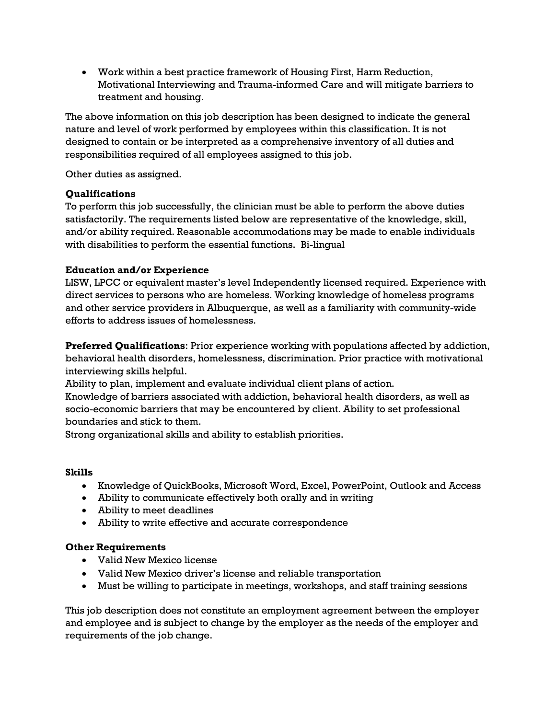• Work within a best practice framework of Housing First, Harm Reduction, Motivational Interviewing and Trauma-informed Care and will mitigate barriers to treatment and housing.

The above information on this job description has been designed to indicate the general nature and level of work performed by employees within this classification. It is not designed to contain or be interpreted as a comprehensive inventory of all duties and responsibilities required of all employees assigned to this job.

Other duties as assigned.

# **Qualifications**

To perform this job successfully, the clinician must be able to perform the above duties satisfactorily. The requirements listed below are representative of the knowledge, skill, and/or ability required. Reasonable accommodations may be made to enable individuals with disabilities to perform the essential functions. Bi-lingual

# **Education and/or Experience**

LISW, LPCC or equivalent master's level Independently licensed required. Experience with direct services to persons who are homeless. Working knowledge of homeless programs and other service providers in Albuquerque, as well as a familiarity with community-wide efforts to address issues of homelessness.

**Preferred Qualifications**: Prior experience working with populations affected by addiction, behavioral health disorders, homelessness, discrimination. Prior practice with motivational interviewing skills helpful.

Ability to plan, implement and evaluate individual client plans of action.

Knowledge of barriers associated with addiction, behavioral health disorders, as well as socio-economic barriers that may be encountered by client. Ability to set professional boundaries and stick to them.

Strong organizational skills and ability to establish priorities.

### **Skills**

- Knowledge of QuickBooks, Microsoft Word, Excel, PowerPoint, Outlook and Access
- Ability to communicate effectively both orally and in writing
- Ability to meet deadlines
- Ability to write effective and accurate correspondence

### **Other Requirements**

- Valid New Mexico license
- Valid New Mexico driver's license and reliable transportation
- Must be willing to participate in meetings, workshops, and staff training sessions

This job description does not constitute an employment agreement between the employer and employee and is subject to change by the employer as the needs of the employer and requirements of the job change.